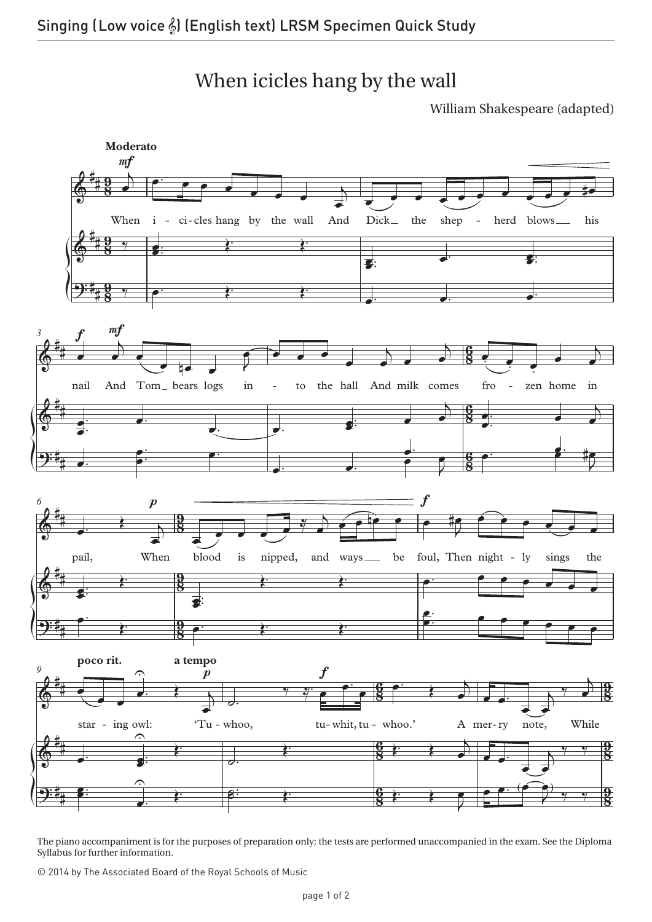When icicles hang by the wall

William Shakespeare (adapted)



The piano accompaniment is for the purposes of preparation only; the tests are performed unaccompanied in the exam. See the Diploma Syllabus for further information.

© 2014 by The Associated Board of the Royal Schools of Music